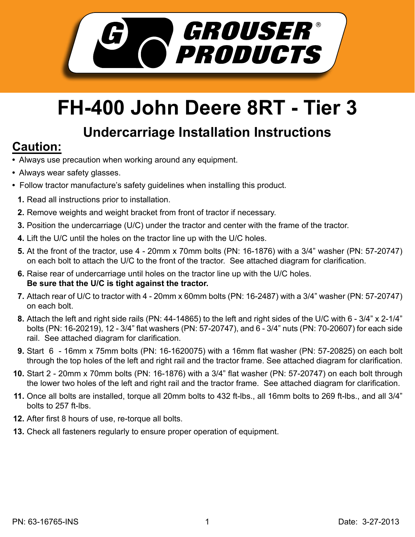

## **FH-400 John Deere 8RT - Tier 3**

## **Undercarriage Installation Instructions**

## **Caution:**

- Always use precaution when working around any equipment.
- Always wear safety glasses.
- Follow tractor manufacture's safety guidelines when installing this product.
	- **1.** Read all instructions prior to installation.
- **2.** Remove weights and weight bracket from front of tractor if necessary.
- **3.** Position the undercarriage (U/C) under the tractor and center with the frame of the tractor.
- Lift the U/C until the holes on the tractor line up with the U/C holes. **4.**
- **5.** At the front of the tractor, use 4 20mm x 70mm bolts (PN: 16-1876) with a 3/4" washer (PN: 57-20747) on each bolt to attach the U/C to the front of the tractor. See attached diagram for clarification.
- **6.** Raise rear of undercarriage until holes on the tractor line up with the U/C holes. **Be sure that the U/C is tight against the tractor.**
- Attach rear of U/C to tractor with 4 20mm x 60mm bolts (PN: 16-2487) with a 3/4" washer (PN: 57-20747) **7.** on each bolt.
- Attach the left and right side rails (PN: 44-14865) to the left and right sides of the U/C with 6 3/4" x 2-1/4" **8.** bolts (PN: 16-20219), 12 - 3/4" flat washers (PN: 57-20747), and 6 - 3/4" nuts (PN: 70-20607) for each side rail. See attached diagram for clarification.
- Start 6 16mm x 75mm bolts (PN: 16-1620075) with a 16mm flat washer (PN: 57-20825) on each bolt **9.** through the top holes of the left and right rail and the tractor frame. See attached diagram for clarification.
- **10.** Start 2 20mm x 70mm bolts (PN: 16-1876) with a 3/4" flat washer (PN: 57-20747) on each bolt through the lower two holes of the left and right rail and the tractor frame. See attached diagram for clarification.
- **11.** Once all bolts are installed, torque all 20mm bolts to 432 ft-lbs., all 16mm bolts to 269 ft-lbs., and all 3/4" bolts to 257 ft-lbs.
- **12.** After first 8 hours of use, re-torque all bolts.
- **13.** Check all fasteners regularly to ensure proper operation of equipment.